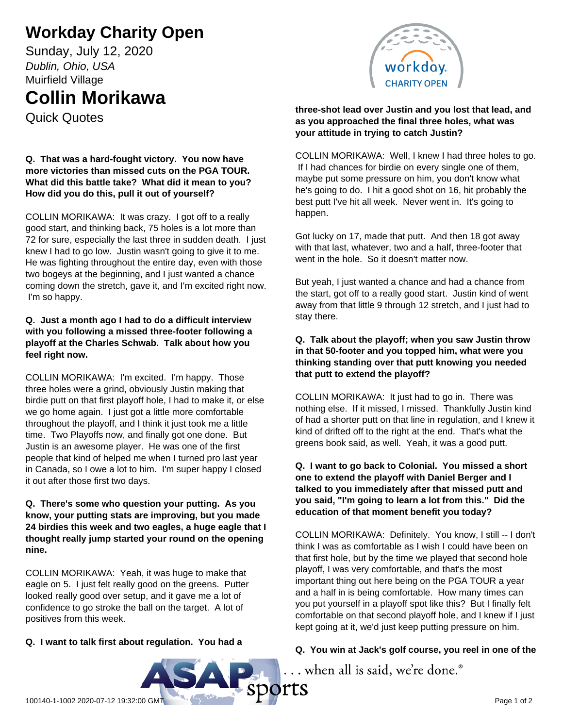# **Workday Charity Open**

Sunday, July 12, 2020 *Dublin, Ohio, USA* Muirfield Village

# **Collin Morikawa**

Quick Quotes

### **Q. That was a hard-fought victory. You now have more victories than missed cuts on the PGA TOUR. What did this battle take? What did it mean to you? How did you do this, pull it out of yourself?**

COLLIN MORIKAWA: It was crazy. I got off to a really good start, and thinking back, 75 holes is a lot more than 72 for sure, especially the last three in sudden death. I just knew I had to go low. Justin wasn't going to give it to me. He was fighting throughout the entire day, even with those two bogeys at the beginning, and I just wanted a chance coming down the stretch, gave it, and I'm excited right now. I'm so happy.

### **Q. Just a month ago I had to do a difficult interview with you following a missed three-footer following a playoff at the Charles Schwab. Talk about how you feel right now.**

COLLIN MORIKAWA: I'm excited. I'm happy. Those three holes were a grind, obviously Justin making that birdie putt on that first playoff hole, I had to make it, or else we go home again. I just got a little more comfortable throughout the playoff, and I think it just took me a little time. Two Playoffs now, and finally got one done. But Justin is an awesome player. He was one of the first people that kind of helped me when I turned pro last year in Canada, so I owe a lot to him. I'm super happy I closed it out after those first two days.

#### **Q. There's some who question your putting. As you know, your putting stats are improving, but you made 24 birdies this week and two eagles, a huge eagle that I thought really jump started your round on the opening nine.**

COLLIN MORIKAWA: Yeah, it was huge to make that eagle on 5. I just felt really good on the greens. Putter looked really good over setup, and it gave me a lot of confidence to go stroke the ball on the target. A lot of positives from this week.

#### **three-shot lead over Justin and you lost that lead, and as you approached the final three holes, what was your attitude in trying to catch Justin?**

COLLIN MORIKAWA: Well, I knew I had three holes to go. If I had chances for birdie on every single one of them, maybe put some pressure on him, you don't know what he's going to do. I hit a good shot on 16, hit probably the best putt I've hit all week. Never went in. It's going to happen.

Got lucky on 17, made that putt. And then 18 got away with that last, whatever, two and a half, three-footer that went in the hole. So it doesn't matter now.

But yeah, I just wanted a chance and had a chance from the start, got off to a really good start. Justin kind of went away from that little 9 through 12 stretch, and I just had to stay there.

### **Q. Talk about the playoff; when you saw Justin throw in that 50-footer and you topped him, what were you thinking standing over that putt knowing you needed that putt to extend the playoff?**

COLLIN MORIKAWA: It just had to go in. There was nothing else. If it missed, I missed. Thankfully Justin kind of had a shorter putt on that line in regulation, and I knew it kind of drifted off to the right at the end. That's what the greens book said, as well. Yeah, it was a good putt.

#### **Q. I want to go back to Colonial. You missed a short one to extend the playoff with Daniel Berger and I talked to you immediately after that missed putt and you said, "I'm going to learn a lot from this." Did the education of that moment benefit you today?**

COLLIN MORIKAWA: Definitely. You know, I still -- I don't think I was as comfortable as I wish I could have been on that first hole, but by the time we played that second hole playoff, I was very comfortable, and that's the most important thing out here being on the PGA TOUR a year and a half in is being comfortable. How many times can you put yourself in a playoff spot like this? But I finally felt comfortable on that second playoff hole, and I knew if I just kept going at it, we'd just keep putting pressure on him.

## **Q. You win at Jack's golf course, you reel in one of the**

... when all is said, we're done.<sup>®</sup>

### **Q. I want to talk first about regulation. You had a**